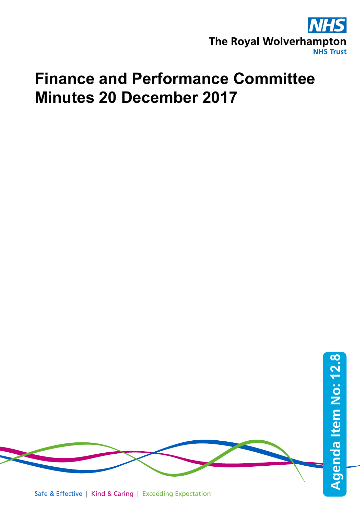

## **Finance and Performance Committee Minutes 20 December 2017**

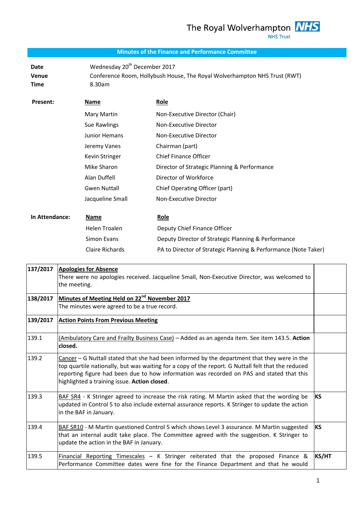## **Minutes of the Finance and Performance Committee**

**Date Wednesday 20<sup>th</sup> December 2017 Venue** Conference Room, Hollybush House, The Royal Wolverhampton NHS Trust (RWT) **Time** 8.30am

| Present:       | Name                   | Role                                                            |
|----------------|------------------------|-----------------------------------------------------------------|
|                | Mary Martin            | Non-Executive Director (Chair)                                  |
|                | Sue Rawlings           | Non-Executive Director                                          |
|                | <b>Junior Hemans</b>   | Non-Executive Director                                          |
|                | Jeremy Vanes           | Chairman (part)                                                 |
|                | Kevin Stringer         | <b>Chief Finance Officer</b>                                    |
|                | Mike Sharon            | Director of Strategic Planning & Performance                    |
|                | Alan Duffell           | Director of Workforce                                           |
|                | <b>Gwen Nuttall</b>    | Chief Operating Officer (part)                                  |
|                | Jacqueline Small       | Non-Executive Director                                          |
|                |                        |                                                                 |
| In Attendance: | Name                   | <b>Role</b>                                                     |
|                | Helen Troalen          | Deputy Chief Finance Officer                                    |
|                | Simon Evans            | Deputy Director of Strategic Planning & Performance             |
|                | <b>Claire Richards</b> | PA to Director of Strategic Planning & Performance (Note Taker) |

| 137/2017 | <b>Apologies for Absence</b><br>There were no apologies received. Jacqueline Small, Non-Executive Director, was welcomed to<br>the meeting.                                                                                                                                                                                                     |              |
|----------|-------------------------------------------------------------------------------------------------------------------------------------------------------------------------------------------------------------------------------------------------------------------------------------------------------------------------------------------------|--------------|
| 138/2017 | Minutes of Meeting Held on 22 <sup>nd</sup> November 2017<br>The minutes were agreed to be a true record.                                                                                                                                                                                                                                       |              |
| 139/2017 | <b>Action Points From Previous Meeting</b>                                                                                                                                                                                                                                                                                                      |              |
| 139.1    | (Ambulatory Care and Frailty Business Case) - Added as an agenda item. See item 143.5. Action<br>closed.                                                                                                                                                                                                                                        |              |
| 139.2    | Cancer - G Nuttall stated that she had been informed by the department that they were in the<br>top quartile nationally, but was waiting for a copy of the report. G Nuttall felt that the reduced<br>reporting figure had been due to how information was recorded on PAS and stated that this<br>highlighted a training issue. Action closed. |              |
| 139.3    | BAF SR4 - K Stringer agreed to increase the risk rating. M Martin asked that the wording be<br>updated in Control 5 to also include external assurance reports. K Stringer to update the action<br>in the BAF in January.                                                                                                                       | KS           |
| 139.4    | BAF SR10 - M Martin questioned Control 5 which shows Level 3 assurance. M Martin suggested<br>that an internal audit take place. The Committee agreed with the suggestion. K Stringer to<br>update the action in the BAF in January.                                                                                                            | KS           |
| 139.5    | Financial Reporting Timescales - K Stringer reiterated that the proposed Finance &<br>Performance Committee dates were fine for the Finance Department and that he would                                                                                                                                                                        | <b>KS/HT</b> |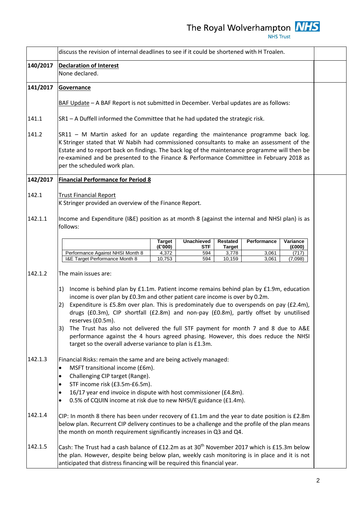|          | discuss the revision of internal deadlines to see if it could be shortened with H Troalen.                                                                                                                                                                                                                                                                                                                                                                                                                                                                                                                                               |                            |                   |                                  |                |                            |  |
|----------|------------------------------------------------------------------------------------------------------------------------------------------------------------------------------------------------------------------------------------------------------------------------------------------------------------------------------------------------------------------------------------------------------------------------------------------------------------------------------------------------------------------------------------------------------------------------------------------------------------------------------------------|----------------------------|-------------------|----------------------------------|----------------|----------------------------|--|
| 140/2017 | <b>Declaration of Interest</b><br>None declared.                                                                                                                                                                                                                                                                                                                                                                                                                                                                                                                                                                                         |                            |                   |                                  |                |                            |  |
| 141/2017 | Governance                                                                                                                                                                                                                                                                                                                                                                                                                                                                                                                                                                                                                               |                            |                   |                                  |                |                            |  |
|          | BAF Update - A BAF Report is not submitted in December. Verbal updates are as follows:                                                                                                                                                                                                                                                                                                                                                                                                                                                                                                                                                   |                            |                   |                                  |                |                            |  |
| 141.1    | SR1 - A Duffell informed the Committee that he had updated the strategic risk.                                                                                                                                                                                                                                                                                                                                                                                                                                                                                                                                                           |                            |                   |                                  |                |                            |  |
| 141.2    | SR11 - M Martin asked for an update regarding the maintenance programme back log.<br>K Stringer stated that W Nabih had commissioned consultants to make an assessment of the<br>Estate and to report back on findings. The back log of the maintenance programme will then be<br>re-examined and be presented to the Finance & Performance Committee in February 2018 as<br>per the scheduled work plan.                                                                                                                                                                                                                                |                            |                   |                                  |                |                            |  |
| 142/2017 | <b>Financial Performance for Period 8</b>                                                                                                                                                                                                                                                                                                                                                                                                                                                                                                                                                                                                |                            |                   |                                  |                |                            |  |
| 142.1    | <b>Trust Financial Report</b><br>K Stringer provided an overview of the Finance Report.                                                                                                                                                                                                                                                                                                                                                                                                                                                                                                                                                  |                            |                   |                                  |                |                            |  |
| 142.1.1  | Income and Expenditure (I&E) position as at month 8 (against the internal and NHSI plan) is as<br>follows:                                                                                                                                                                                                                                                                                                                                                                                                                                                                                                                               |                            |                   |                                  |                |                            |  |
|          |                                                                                                                                                                                                                                                                                                                                                                                                                                                                                                                                                                                                                                          | Target                     | <b>Unachieved</b> | <b>Restated</b>                  | Performance    | Variance                   |  |
|          | Performance Against NHSI Month 8<br>I&E Target Performance Month 8                                                                                                                                                                                                                                                                                                                                                                                                                                                                                                                                                                       | (E'000)<br>4,372<br>10,753 | STF<br>594<br>594 | <b>Target</b><br>3,778<br>10,159 | 3,061<br>3,061 | (£000)<br>(717)<br>(7,098) |  |
| 142.1.2  | The main issues are:                                                                                                                                                                                                                                                                                                                                                                                                                                                                                                                                                                                                                     |                            |                   |                                  |                |                            |  |
|          | Income is behind plan by £1.1m. Patient income remains behind plan by £1.9m, education<br>1)<br>income is over plan by £0.3m and other patient care income is over by 0.2m.<br>Expenditure is £5.8m over plan. This is predominately due to overspends on pay (£2.4m),<br>2)<br>drugs (£0.3m), CIP shortfall (£2.8m) and non-pay (£0.8m), partly offset by unutilised<br>reserves (£0.5m).<br>The Trust has also not delivered the full STF payment for month 7 and 8 due to A&E<br>3)<br>performance against the 4 hours agreed phasing. However, this does reduce the NHSI<br>target so the overall adverse variance to plan is £1.3m. |                            |                   |                                  |                |                            |  |
| 142.1.3  | Financial Risks: remain the same and are being actively managed:<br>MSFT transitional income (£6m).<br>$\bullet$<br>Challenging CIP target (Range).<br>$\bullet$<br>STF income risk (£3.5m-£6.5m).<br>$\bullet$<br>16/17 year end invoice in dispute with host commissioner (£4.8m).<br>$\bullet$<br>0.5% of CQUIN income at risk due to new NHSI/E guidance (£1.4m).<br>$\bullet$                                                                                                                                                                                                                                                       |                            |                   |                                  |                |                            |  |
| 142.1.4  | CIP: In month 8 there has been under recovery of $f1.1m$ and the year to date position is $f2.8m$<br>below plan. Recurrent CIP delivery continues to be a challenge and the profile of the plan means<br>the month on month requirement significantly increases in Q3 and Q4.                                                                                                                                                                                                                                                                                                                                                            |                            |                   |                                  |                |                            |  |
| 142.1.5  | Cash: The Trust had a cash balance of £12.2m as at 30 <sup>th</sup> November 2017 which is £15.3m below<br>the plan. However, despite being below plan, weekly cash monitoring is in place and it is not<br>anticipated that distress financing will be required this financial year.                                                                                                                                                                                                                                                                                                                                                    |                            |                   |                                  |                |                            |  |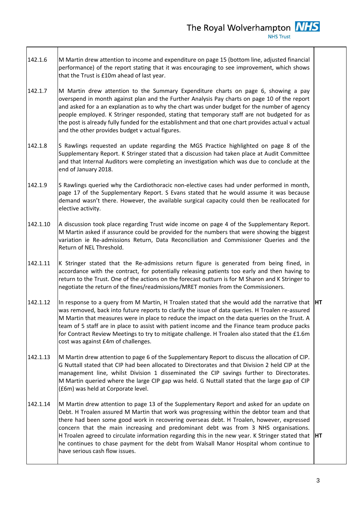- 142.1.6 M Martin drew attention to income and expenditure on page 15 (bottom line, adjusted financial performance) of the report stating that it was encouraging to see improvement, which shows that the Trust is £10m ahead of last year.
- 142.1.7 M Martin drew attention to the Summary Expenditure charts on page 6, showing a pay overspend in month against plan and the Further Analysis Pay charts on page 10 of the report and asked for a an explanation as to why the chart was under budget for the number of agency people employed. K Stringer responded, stating that temporary staff are not budgeted for as the post is already fully funded for the establishment and that one chart provides actual v actual and the other provides budget v actual figures.
- 142.1.8 S Rawlings requested an update regarding the MGS Practice highlighted on page 8 of the Supplementary Report. K Stringer stated that a discussion had taken place at Audit Committee and that Internal Auditors were completing an investigation which was due to conclude at the end of January 2018.
- 142.1.9 S Rawlings queried why the Cardiothoracic non-elective cases had under performed in month, page 17 of the Supplementary Report. S Evans stated that he would assume it was because demand wasn't there. However, the available surgical capacity could then be reallocated for elective activity.
- 142.1.10 A discussion took place regarding Trust wide income on page 4 of the Supplementary Report. M Martin asked if assurance could be provided for the numbers that were showing the biggest variation ie Re-admissions Return, Data Reconciliation and Commissioner Queries and the Return of NEL Threshold.
- 142.1.11 K Stringer stated that the Re-admissions return figure is generated from being fined, in accordance with the contract, for potentially releasing patients too early and then having to return to the Trust. One of the actions on the forecast outturn is for M Sharon and K Stringer to negotiate the return of the fines/readmissions/MRET monies from the Commissioners.
- 142.1.12 In response to a query from M Martin, H Troalen stated that she would add the narrative that **HT** was removed, back into future reports to clarify the issue of data queries. H Troalen re-assured M Martin that measures were in place to reduce the impact on the data queries on the Trust. A team of 5 staff are in place to assist with patient income and the Finance team produce packs for Contract Review Meetings to try to mitigate challenge. H Troalen also stated that the £1.6m cost was against £4m of challenges.
- 142.1.13 M Martin drew attention to page 6 of the Supplementary Report to discuss the allocation of CIP. G Nuttall stated that CIP had been allocated to Directorates and that Division 2 held CIP at the management line, whilst Division 1 disseminated the CIP savings further to Directorates. M Martin queried where the large CIP gap was held. G Nuttall stated that the large gap of CIP (£6m) was held at Corporate level.
- 142.1.14 M Martin drew attention to page 13 of the Supplementary Report and asked for an update on Debt. H Troalen assured M Martin that work was progressing within the debtor team and that there had been some good work in recovering overseas debt. H Troalen, however, expressed concern that the main increasing and predominant debt was from 3 NHS organisations. H Troalen agreed to circulate information regarding this in the new year. K Stringer stated that he continues to chase payment for the debt from Walsall Manor Hospital whom continue to have serious cash flow issues. **HT**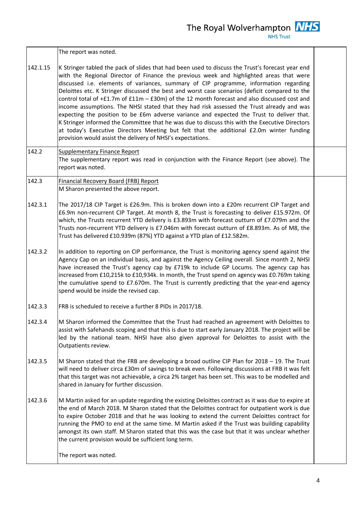The Royal Wolverhampton **NHS NHS Trust** 

The report was noted.

- 142.1.15 K Stringer tabled the pack of slides that had been used to discuss the Trust's forecast year end with the Regional Director of Finance the previous week and highlighted areas that were discussed i.e. elements of variances, summary of CIP programme, information regarding Deloittes etc. K Stringer discussed the best and worst case scenarios (deficit compared to the control total of  $+f1.7m$  of  $f11m - f30m$ ) of the 12 month forecast and also discussed cost and income assumptions. The NHSI stated that they had risk assessed the Trust already and was expecting the position to be £6m adverse variance and expected the Trust to deliver that. K Stringer informed the Committee that he was due to discuss this with the Executive Directors at today's Executive Directors Meeting but felt that the additional £2.0m winter funding provision would assist the delivery of NHSI's expectations.
- 142.2 Supplementary Finance Report The supplementary report was read in conjunction with the Finance Report (see above). The report was noted.
- 142.3 Financial Recovery Board (FRB) Report M Sharon presented the above report.
- 142.3.1 The 2017/18 CIP Target is £26.9m. This is broken down into a £20m recurrent CIP Target and £6.9m non-recurrent CIP Target. At month 8, the Trust is forecasting to deliver £15.972m. Of which, the Trusts recurrent YTD delivery is £3.893m with forecast outturn of £7.079m and the Trusts non-recurrent YTD delivery is £7.046m with forecast outturn of £8.893m. As of M8, the Trust has delivered £10.939m (87%) YTD against a YTD plan of £12.582m.
- 142.3.2 In addition to reporting on CIP performance, the Trust is monitoring agency spend against the Agency Cap on an individual basis, and against the Agency Ceiling overall. Since month 2, NHSI have increased the Trust's agency cap by £719k to include GP Locums. The agency cap has increased from £10,215k to £10,934k. In month, the Trust spend on agency was £0.769m taking the cumulative spend to £7.670m. The Trust is currently predicting that the year-end agency spend would be inside the revised cap.
- 142.3.3 FRB is scheduled to receive a further 8 PIDs in 2017/18.
- 142.3.4 M Sharon informed the Committee that the Trust had reached an agreement with Deloittes to assist with Safehands scoping and that this is due to start early January 2018. The project will be led by the national team. NHSI have also given approval for Deloittes to assist with the Outpatients review.
- 142.3.5 M Sharon stated that the FRB are developing a broad outline CIP Plan for 2018 – 19. The Trust will need to deliver circa £30m of savings to break even. Following discussions at FRB it was felt that this target was not achievable, a circa 2% target has been set. This was to be modelled and shared in January for further discussion.
- 142.3.6 M Martin asked for an update regarding the existing Deloittes contract as it was due to expire at the end of March 2018. M Sharon stated that the Deloittes contract for outpatient work is due to expire October 2018 and that he was looking to extend the current Deloittes contract for running the PMO to end at the same time. M Martin asked if the Trust was building capability amongst its own staff. M Sharon stated that this was the case but that it was unclear whether the current provision would be sufficient long term.

The report was noted.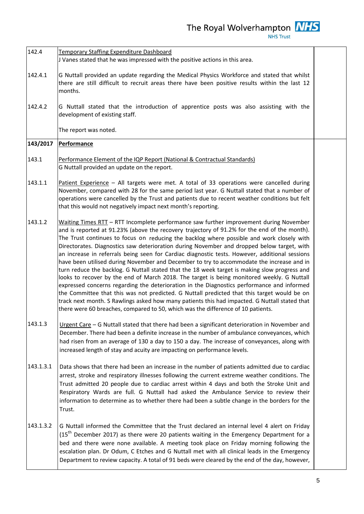**NHS Trust** 

142.4 142.4.1 142.4.2 Temporary Staffing Expenditure Dashboard J Vanes stated that he was impressed with the positive actions in this area. G Nuttall provided an update regarding the Medical Physics Workforce and stated that whilst there are still difficult to recruit areas there have been positive results within the last 12 months. G Nuttall stated that the introduction of apprentice posts was also assisting with the development of existing staff. The report was noted. **143/2017** 143.1 143.1.1 143.1.2 143.1.3 143.1.3.1 143.1.3.2 **Performance** Performance Element of the IQP Report (National & Contractual Standards) G Nuttall provided an update on the report. Patient Experience – All targets were met. A total of 33 operations were cancelled during November, compared with 28 for the same period last year. G Nuttall stated that a number of operations were cancelled by the Trust and patients due to recent weather conditions but felt that this would not negatively impact next month's reporting. Waiting Times RTT – RTT Incomplete performance saw further improvement during November and is reported at 91.23% (above the recovery trajectory of 91.2% for the end of the month). The Trust continues to focus on reducing the backlog where possible and work closely with Directorates. Diagnostics saw deterioration during November and dropped below target, with an increase in referrals being seen for Cardiac diagnostic tests. However, additional sessions have been utilised during November and December to try to accommodate the increase and in turn reduce the backlog. G Nuttall stated that the 18 week target is making slow progress and looks to recover by the end of March 2018. The target is being monitored weekly. G Nuttall expressed concerns regarding the deterioration in the Diagnostics performance and informed the Committee that this was not predicted. G Nuttall predicted that this target would be on track next month. S Rawlings asked how many patients this had impacted. G Nuttall stated that there were 60 breaches, compared to 50, which was the difference of 10 patients. Urgent Care – G Nuttall stated that there had been a significant deterioration in November and December. There had been a definite increase in the number of ambulance conveyances, which had risen from an average of 130 a day to 150 a day. The increase of conveyances, along with increased length of stay and acuity are impacting on performance levels. Data shows that there had been an increase in the number of patients admitted due to cardiac arrest, stroke and respiratory illnesses following the current extreme weather conditions. The Trust admitted 20 people due to cardiac arrest within 4 days and both the Stroke Unit and Respiratory Wards are full. G Nuttall had asked the Ambulance Service to review their information to determine as to whether there had been a subtle change in the borders for the Trust. G Nuttall informed the Committee that the Trust declared an internal level 4 alert on Friday  $(15<sup>th</sup>$  December 2017) as there were 20 patients waiting in the Emergency Department for a bed and there were none available. A meeting took place on Friday morning following the escalation plan. Dr Odum, C Etches and G Nuttall met with all clinical leads in the Emergency Department to review capacity. A total of 91 beds were cleared by the end of the day, however,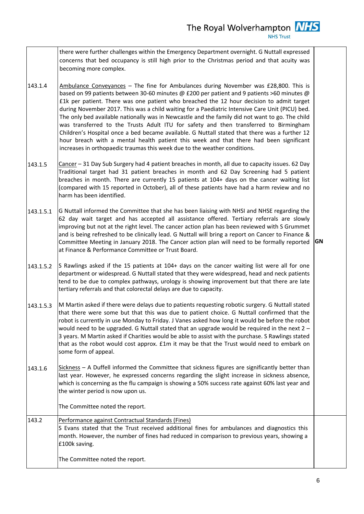there were further challenges within the Emergency Department overnight. G Nuttall expressed concerns that bed occupancy is still high prior to the Christmas period and that acuity was becoming more complex.

- 143.1.4 Ambulance Conveyances - The fine for Ambulances during November was £28,800. This is based on 99 patients between 30-60 minutes @ £200 per patient and 9 patients >60 minutes @ £1k per patient. There was one patient who breached the 12 hour decision to admit target during November 2017. This was a child waiting for a Paediatric Intensive Care Unit (PICU) bed. The only bed available nationally was in Newcastle and the family did not want to go. The child was transferred to the Trusts Adult ITU for safety and then transferred to Birmingham Children's Hospital once a bed became available. G Nuttall stated that there was a further 12 hour breach with a mental health patient this week and that there had been significant increases in orthopaedic traumas this week due to the weather conditions.
- 143.1.5 Cancer – 31 Day Sub Surgery had 4 patient breaches in month, all due to capacity issues. 62 Day Traditional target had 31 patient breaches in month and 62 Day Screening had 5 patient breaches in month. There are currently 15 patients at 104+ days on the cancer waiting list (compared with 15 reported in October), all of these patients have had a harm review and no harm has been identified.
- 143.1.5.1 G Nuttall informed the Committee that she has been liaising with NHSI and NHSE regarding the 62 day wait target and has accepted all assistance offered. Tertiary referrals are slowly improving but not at the right level. The cancer action plan has been reviewed with S Grummet and is being refreshed to be clinically lead. G Nuttall will bring a report on Cancer to Finance & Committee Meeting in January 2018. The Cancer action plan will need to be formally reported at Finance & Performance Committee or Trust Board. **GN**
- 143.1.5.2 S Rawlings asked if the 15 patients at 104+ days on the cancer waiting list were all for one department or widespread. G Nuttall stated that they were widespread, head and neck patients tend to be due to complex pathways, urology is showing improvement but that there are late tertiary referrals and that colorectal delays are due to capacity.
- 143.1.5.3 M Martin asked if there were delays due to patients requesting robotic surgery. G Nuttall stated that there were some but that this was due to patient choice. G Nuttall confirmed that the robot is currently in use Monday to Friday. J Vanes asked how long it would be before the robot would need to be upgraded. G Nuttall stated that an upgrade would be required in the next 2 -3 years. M Martin asked if Charities would be able to assist with the purchase. S Rawlings stated that as the robot would cost approx. £1m it may be that the Trust would need to embark on some form of appeal.
- 143.1.6 Sickness – A Duffell informed the Committee that sickness figures are significantly better than last year. However, he expressed concerns regarding the slight increase in sickness absence, which is concerning as the flu campaign is showing a 50% success rate against 60% last year and the winter period is now upon us.

The Committee noted the report.

143.2 Performance against Contractual Standards (Fines) S Evans stated that the Trust received additional fines for ambulances and diagnostics this month. However, the number of fines had reduced in comparison to previous years, showing a £100k saving. The Committee noted the report.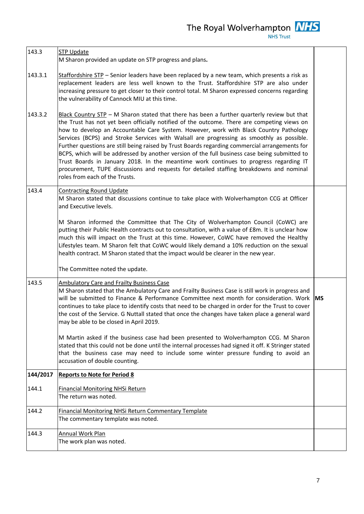| 143.3    | <b>STP Update</b><br>M Sharon provided an update on STP progress and plans.                                                                                                                                                                                                                                                                                                                                                                                                                                                                                                                                                                                                                                                                                                                               |           |  |
|----------|-----------------------------------------------------------------------------------------------------------------------------------------------------------------------------------------------------------------------------------------------------------------------------------------------------------------------------------------------------------------------------------------------------------------------------------------------------------------------------------------------------------------------------------------------------------------------------------------------------------------------------------------------------------------------------------------------------------------------------------------------------------------------------------------------------------|-----------|--|
| 143.3.1  | Staffordshire STP - Senior leaders have been replaced by a new team, which presents a risk as<br>replacement leaders are less well known to the Trust. Staffordshire STP are also under<br>increasing pressure to get closer to their control total. M Sharon expressed concerns regarding<br>the vulnerability of Cannock MIU at this time.                                                                                                                                                                                                                                                                                                                                                                                                                                                              |           |  |
| 143.3.2  | Black Country STP - M Sharon stated that there has been a further quarterly review but that<br>the Trust has not yet been officially notified of the outcome. There are competing views on<br>how to develop an Accountable Care System. However, work with Black Country Pathology<br>Services (BCPS) and Stroke Services with Walsall are progressing as smoothly as possible.<br>Further questions are still being raised by Trust Boards regarding commercial arrangements for<br>BCPS, which will be addressed by another version of the full business case being submitted to<br>Trust Boards in January 2018. In the meantime work continues to progress regarding IT<br>procurement, TUPE discussions and requests for detailed staffing breakdowns and nominal<br>roles from each of the Trusts. |           |  |
| 143.4    | <b>Contracting Round Update</b><br>M Sharon stated that discussions continue to take place with Wolverhampton CCG at Officer<br>and Executive levels.                                                                                                                                                                                                                                                                                                                                                                                                                                                                                                                                                                                                                                                     |           |  |
|          | M Sharon informed the Committee that The City of Wolverhampton Council (CoWC) are<br>putting their Public Health contracts out to consultation, with a value of £8m. It is unclear how<br>much this will impact on the Trust at this time. However, CoWC have removed the Healthy<br>Lifestyles team. M Sharon felt that CoWC would likely demand a 10% reduction on the sexual<br>health contract. M Sharon stated that the impact would be clearer in the new year.                                                                                                                                                                                                                                                                                                                                     |           |  |
|          | The Committee noted the update.                                                                                                                                                                                                                                                                                                                                                                                                                                                                                                                                                                                                                                                                                                                                                                           |           |  |
| 143.5    | <b>Ambulatory Care and Frailty Business Case</b><br>M Sharon stated that the Ambulatory Care and Frailty Business Case is still work in progress and<br>will be submitted to Finance & Performance Committee next month for consideration. Work<br>continues to take place to identify costs that need to be charged in order for the Trust to cover<br>the cost of the Service. G Nuttall stated that once the changes have taken place a general ward<br>may be able to be closed in April 2019.                                                                                                                                                                                                                                                                                                        | <b>MS</b> |  |
|          | M Martin asked if the business case had been presented to Wolverhampton CCG. M Sharon<br>stated that this could not be done until the internal processes had signed it off. K Stringer stated<br>that the business case may need to include some winter pressure funding to avoid an<br>accusation of double counting.                                                                                                                                                                                                                                                                                                                                                                                                                                                                                    |           |  |
| 144/2017 | <b>Reports to Note for Period 8</b>                                                                                                                                                                                                                                                                                                                                                                                                                                                                                                                                                                                                                                                                                                                                                                       |           |  |
| 144.1    | <b>Financial Monitoring NHSi Return</b><br>The return was noted.                                                                                                                                                                                                                                                                                                                                                                                                                                                                                                                                                                                                                                                                                                                                          |           |  |
| 144.2    | <b>Financial Monitoring NHSi Return Commentary Template</b><br>The commentary template was noted.                                                                                                                                                                                                                                                                                                                                                                                                                                                                                                                                                                                                                                                                                                         |           |  |
| 144.3    | Annual Work Plan<br>The work plan was noted.                                                                                                                                                                                                                                                                                                                                                                                                                                                                                                                                                                                                                                                                                                                                                              |           |  |